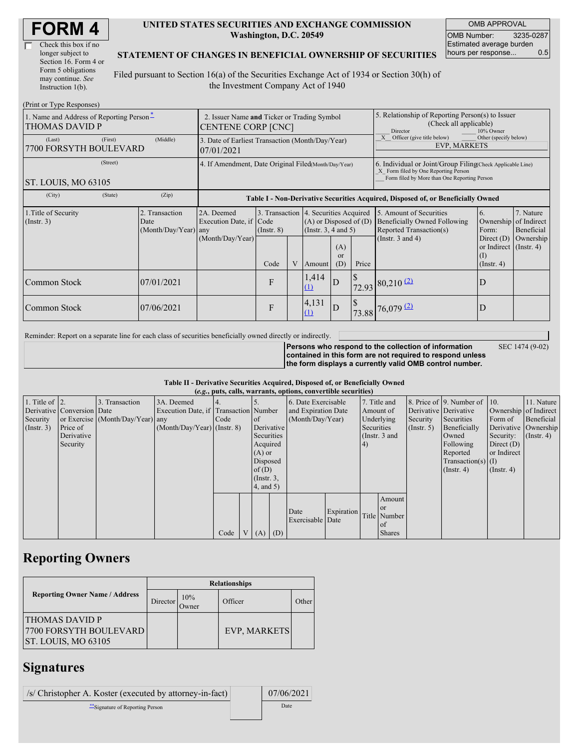| Check this box if no  |
|-----------------------|
| longer subject to     |
| Section 16. Form 4 or |
| Form 5 obligations    |
| may continue. See     |
| Instruction 1(b).     |

#### **UNITED STATES SECURITIES AND EXCHANGE COMMISSION Washington, D.C. 20549**

OMB APPROVAL OMB Number: 3235-0287 Estimated average burden hours per response... 0.5

### **STATEMENT OF CHANGES IN BENEFICIAL OWNERSHIP OF SECURITIES**

Filed pursuant to Section 16(a) of the Securities Exchange Act of 1934 or Section 30(h) of the Investment Company Act of 1940

| (Print or Type Responses)                                         |                                                                          |                                                  |                                                                                  |                 |   |                                                                                                 |                                                                                                                                                    |               |                                                                                           |                                                                         |                                        |
|-------------------------------------------------------------------|--------------------------------------------------------------------------|--------------------------------------------------|----------------------------------------------------------------------------------|-----------------|---|-------------------------------------------------------------------------------------------------|----------------------------------------------------------------------------------------------------------------------------------------------------|---------------|-------------------------------------------------------------------------------------------|-------------------------------------------------------------------------|----------------------------------------|
| 1. Name and Address of Reporting Person-<br><b>THOMAS DAVID P</b> | 2. Issuer Name and Ticker or Trading Symbol<br><b>CENTENE CORP [CNC]</b> |                                                  |                                                                                  |                 |   |                                                                                                 | 5. Relationship of Reporting Person(s) to Issuer<br>(Check all applicable)<br>10% Owner<br>Director                                                |               |                                                                                           |                                                                         |                                        |
| (Last)<br>7700 FORSYTH BOULEVARD                                  | 3. Date of Earliest Transaction (Month/Day/Year)<br>07/01/2021           |                                                  |                                                                                  |                 |   |                                                                                                 | Officer (give title below)<br>Other (specify below)<br><b>EVP. MARKETS</b>                                                                         |               |                                                                                           |                                                                         |                                        |
| ST. LOUIS, MO 63105                                               | 4. If Amendment, Date Original Filed(Month/Day/Year)                     |                                                  |                                                                                  |                 |   |                                                                                                 | 6. Individual or Joint/Group Filing Check Applicable Line)<br>X Form filed by One Reporting Person<br>Form filed by More than One Reporting Person |               |                                                                                           |                                                                         |                                        |
| (City)                                                            | (State)                                                                  | (Zip)                                            | Table I - Non-Derivative Securities Acquired, Disposed of, or Beneficially Owned |                 |   |                                                                                                 |                                                                                                                                                    |               |                                                                                           |                                                                         |                                        |
| 1. Title of Security<br>$($ Instr. 3 $)$                          |                                                                          | 2. Transaction<br>Date<br>$(Month/Day/Year)$ any | 2A. Deemed<br>Execution Date, if Code                                            | $($ Instr. $8)$ |   | 3. Transaction 4. Securities Acquired<br>$(A)$ or Disposed of $(D)$<br>(Instr. $3, 4$ and $5$ ) |                                                                                                                                                    |               | 5. Amount of Securities<br><b>Beneficially Owned Following</b><br>Reported Transaction(s) | 6.<br>Ownership<br>Form:                                                | 7. Nature<br>of Indirect<br>Beneficial |
|                                                                   |                                                                          |                                                  | (Month/Day/Year)                                                                 | Code            | V | Amount                                                                                          | (A)<br><sub>or</sub><br>(D)                                                                                                                        | Price         | (Instr. $3$ and $4$ )                                                                     | Direct $(D)$<br>or Indirect $($ Instr. 4 $)$<br>(I)<br>$($ Instr. 4 $)$ | Ownership                              |
| Common Stock                                                      |                                                                          | 07/01/2021                                       |                                                                                  | F               |   | 1,414<br>(1)                                                                                    | D                                                                                                                                                  | <sup>\$</sup> | $72.93$ 80,210 (2)                                                                        | D                                                                       |                                        |
| Common Stock                                                      |                                                                          | 07/06/2021                                       |                                                                                  | F               |   | 4,131<br>(1)                                                                                    | D                                                                                                                                                  | <sup>S</sup>  | 73.88 76,079 (2)                                                                          | D                                                                       |                                        |

Reminder: Report on a separate line for each class of securities beneficially owned directly or indirectly.

**Persons who respond to the collection of information**

SEC 1474 (9-02)

**contained in this form are not required to respond unless the form displays a currently valid OMB control number.**

### **Table II - Derivative Securities Acquired, Disposed of, or Beneficially Owned**

| (e.g., puts, calls, warrants, options, convertible securities) |            |                                  |                                       |      |          |                     |                  |                     |            |                       |                 |                       |                          |                      |                  |
|----------------------------------------------------------------|------------|----------------------------------|---------------------------------------|------|----------|---------------------|------------------|---------------------|------------|-----------------------|-----------------|-----------------------|--------------------------|----------------------|------------------|
| 1. Title of $\vert$ 2.                                         |            | 3. Transaction                   | 3A. Deemed                            |      |          |                     |                  | 6. Date Exercisable |            | 7. Title and          |                 |                       | 8. Price of 9. Number of | 110.                 | 11. Nature       |
| Derivative Conversion Date                                     |            |                                  | Execution Date, if Transaction Number |      |          | and Expiration Date |                  | Amount of           |            | Derivative Derivative |                 | Ownership of Indirect |                          |                      |                  |
| Security                                                       |            | or Exercise (Month/Day/Year) any |                                       | Code |          | <sub>of</sub>       | (Month/Day/Year) |                     |            | Underlying            | Security        | Securities            | Form of                  | Beneficial           |                  |
| $($ Instr. 3 $)$                                               | Price of   |                                  | $(Month/Day/Year)$ (Instr. 8)         |      |          |                     | Derivative       |                     |            | Securities            |                 | $($ Instr. 5)         | Beneficially             | Derivative Ownership |                  |
|                                                                | Derivative |                                  |                                       |      |          | Securities          |                  |                     |            |                       | (Instr. $3$ and |                       | Owned                    | Security:            | $($ Instr. 4 $)$ |
|                                                                | Security   |                                  |                                       |      |          | Acquired            |                  |                     |            | 4)                    |                 |                       | Following                | Direct $(D)$         |                  |
|                                                                |            |                                  |                                       |      |          | $(A)$ or            |                  |                     |            |                       |                 |                       | Reported                 | or Indirect          |                  |
|                                                                |            |                                  |                                       |      | Disposed |                     |                  |                     |            |                       |                 | $Transaction(s)$ (I)  |                          |                      |                  |
|                                                                |            |                                  |                                       |      |          | of $(D)$            |                  |                     |            |                       |                 |                       | $($ Instr. 4 $)$         | $($ Instr. 4 $)$     |                  |
|                                                                |            |                                  |                                       |      |          | $($ Instr. 3,       |                  |                     |            |                       |                 |                       |                          |                      |                  |
|                                                                |            |                                  |                                       |      |          | $4$ , and 5)        |                  |                     |            |                       |                 |                       |                          |                      |                  |
|                                                                |            |                                  |                                       |      |          |                     |                  |                     |            |                       | Amount          |                       |                          |                      |                  |
|                                                                |            |                                  |                                       |      |          |                     |                  |                     |            |                       | <sub>or</sub>   |                       |                          |                      |                  |
|                                                                |            |                                  |                                       |      |          |                     |                  | Date                | Expiration |                       | Title Number    |                       |                          |                      |                  |
|                                                                |            |                                  |                                       |      |          |                     |                  | Exercisable Date    |            |                       | of              |                       |                          |                      |                  |
|                                                                |            |                                  |                                       | Code |          | $V(A)$ (D)          |                  |                     |            |                       | <b>Shares</b>   |                       |                          |                      |                  |

## **Reporting Owners**

|                                                                               | <b>Relationships</b> |              |              |       |  |  |  |  |  |
|-------------------------------------------------------------------------------|----------------------|--------------|--------------|-------|--|--|--|--|--|
| <b>Reporting Owner Name / Address</b>                                         | Director             | 10%<br>Jwner | Officer      | Other |  |  |  |  |  |
| <b>THOMAS DAVID P</b><br><b>7700 FORSYTH BOULEVARD</b><br>ST. LOUIS, MO 63105 |                      |              | EVP, MARKETS |       |  |  |  |  |  |

### **Signatures**

| /s/ Christopher A. Koster (executed by attorney-in-fact) | 07/06/2021 |
|----------------------------------------------------------|------------|
| Signature of Reporting Person                            | Date       |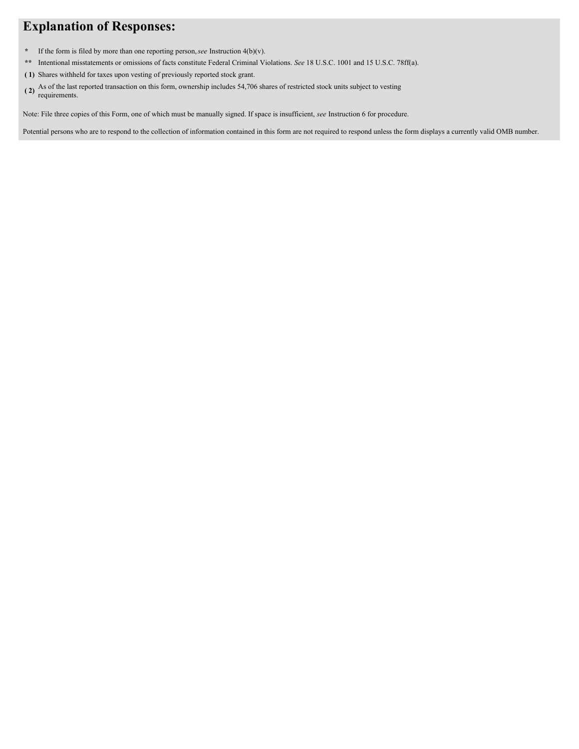# **Explanation of Responses:**

- **\*** If the form is filed by more than one reporting person,*see* Instruction 4(b)(v).
- **\*\*** Intentional misstatements or omissions of facts constitute Federal Criminal Violations. *See* 18 U.S.C. 1001 and 15 U.S.C. 78ff(a).
- **( 1)** Shares withheld for taxes upon vesting of previously reported stock grant.
- **( 2)** As of the last reported transaction on this form, ownership includes 54,706 shares of restricted stock units subject to vesting requirements.

Note: File three copies of this Form, one of which must be manually signed. If space is insufficient, *see* Instruction 6 for procedure.

Potential persons who are to respond to the collection of information contained in this form are not required to respond unless the form displays a currently valid OMB number.